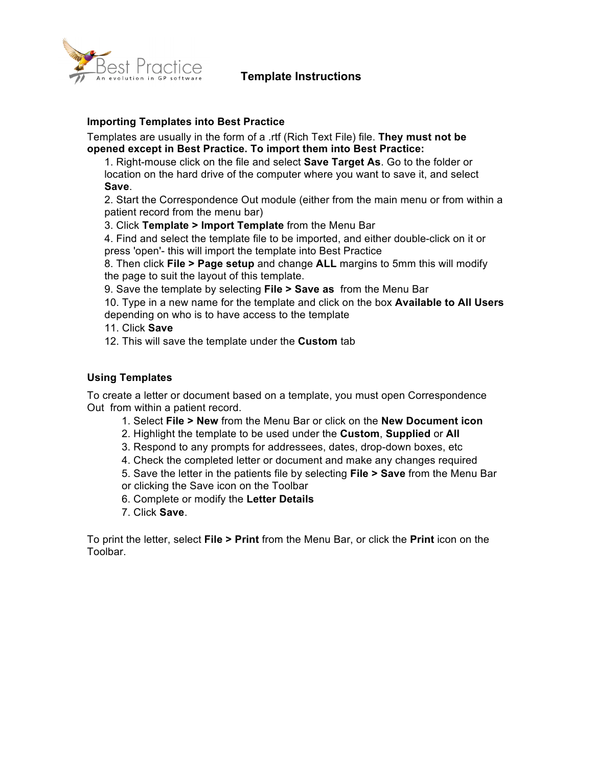



# **Importing Templates into Best Practice**

Templates are usually in the form of a .rtf (Rich Text File) file. **They must not be opened except in Best Practice. To import them into Best Practice:** 

1. Right-mouse click on the file and select **Save Target As**. Go to the folder or location on the hard drive of the computer where you want to save it, and select **Save**.

2. Start the Correspondence Out module (either from the main menu or from within a patient record from the menu bar)

3. Click **Template > Import Template** from the Menu Bar

4. Find and select the template file to be imported, and either double-click on it or press 'open'- this will import the template into Best Practice

8. Then click **File > Page setup** and change **ALL** margins to 5mm this will modify the page to suit the layout of this template.

9. Save the template by selecting **File > Save as** from the Menu Bar

10. Type in a new name for the template and click on the box **Available to All Users**  depending on who is to have access to the template

- 11. Click **Save**
- 12. This will save the template under the **Custom** tab

### **Using Templates**

To create a letter or document based on a template, you must open Correspondence Out from within a patient record.

- 1. Select **File > New** from the Menu Bar or click on the **New Document icon**
- 2. Highlight the template to be used under the **Custom**, **Supplied** or **All**
- 3. Respond to any prompts for addressees, dates, drop-down boxes, etc
- 4. Check the completed letter or document and make any changes required
- 5. Save the letter in the patients file by selecting **File > Save** from the Menu Bar
- or clicking the Save icon on the Toolbar
- 6. Complete or modify the **Letter Details**
- 7. Click **Save**.

To print the letter, select **File > Print** from the Menu Bar, or click the **Print** icon on the Toolbar.